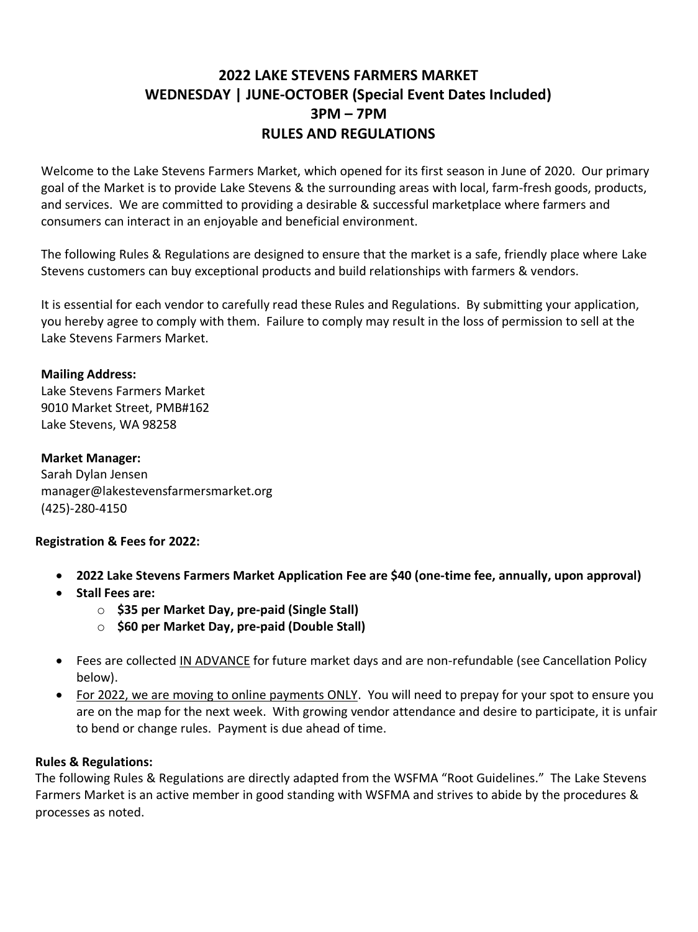# **2022 LAKE STEVENS FARMERS MARKET WEDNESDAY | JUNE-OCTOBER (Special Event Dates Included) 3PM – 7PM RULES AND REGULATIONS**

Welcome to the Lake Stevens Farmers Market, which opened for its first season in June of 2020. Our primary goal of the Market is to provide Lake Stevens & the surrounding areas with local, farm-fresh goods, products, and services. We are committed to providing a desirable & successful marketplace where farmers and consumers can interact in an enjoyable and beneficial environment.

The following Rules & Regulations are designed to ensure that the market is a safe, friendly place where Lake Stevens customers can buy exceptional products and build relationships with farmers & vendors.

It is essential for each vendor to carefully read these Rules and Regulations. By submitting your application, you hereby agree to comply with them. Failure to comply may result in the loss of permission to sell at the Lake Stevens Farmers Market.

## **Mailing Address:**

Lake Stevens Farmers Market 9010 Market Street, PMB#162 Lake Stevens, WA 98258

## **Market Manager:**

Sarah Dylan Jensen manager@lakestevensfarmersmarket.org (425)-280-4150

## **Registration & Fees for 2022:**

- **2022 Lake Stevens Farmers Market Application Fee are \$40 (one-time fee, annually, upon approval)**
- **Stall Fees are:** 
	- o **\$35 per Market Day, pre-paid (Single Stall)**
	- o **\$60 per Market Day, pre-paid (Double Stall)**
- Fees are collected IN ADVANCE for future market days and are non-refundable (see Cancellation Policy below).
- For 2022, we are moving to online payments ONLY. You will need to prepay for your spot to ensure you are on the map for the next week. With growing vendor attendance and desire to participate, it is unfair to bend or change rules. Payment is due ahead of time.

## **Rules & Regulations:**

The following Rules & Regulations are directly adapted from the WSFMA "Root Guidelines." The Lake Stevens Farmers Market is an active member in good standing with WSFMA and strives to abide by the procedures & processes as noted.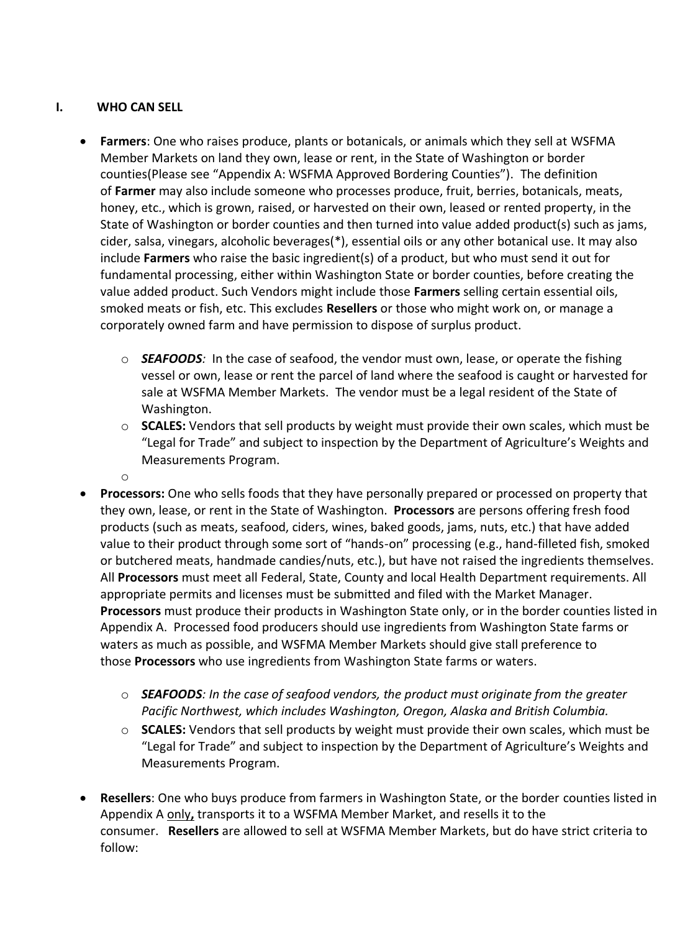# **I. WHO CAN SELL**

o

- **Farmers**: One who raises produce, plants or botanicals, or animals which they sell at WSFMA Member Markets on land they own, lease or rent, in the State of Washington or border counties(Please see "Appendix A: WSFMA Approved Bordering Counties"). The definition of **Farmer** may also include someone who processes produce, fruit, berries, botanicals, meats, honey, etc., which is grown, raised, or harvested on their own, leased or rented property, in the State of Washington or border counties and then turned into value added product(s) such as jams, cider, salsa, vinegars, alcoholic beverages(\*), essential oils or any other botanical use. It may also include **Farmers** who raise the basic ingredient(s) of a product, but who must send it out for fundamental processing, either within Washington State or border counties, before creating the value added product. Such Vendors might include those **Farmers** selling certain essential oils, smoked meats or fish, etc. This excludes **Resellers** or those who might work on, or manage a corporately owned farm and have permission to dispose of surplus product.
	- o *SEAFOODS:* In the case of seafood, the vendor must own, lease, or operate the fishing vessel or own, lease or rent the parcel of land where the seafood is caught or harvested for sale at WSFMA Member Markets. The vendor must be a legal resident of the State of Washington.
	- o **SCALES:** Vendors that sell products by weight must provide their own scales, which must be "Legal for Trade" and subject to inspection by the Department of Agriculture's Weights and Measurements Program.
- **Processors:** One who sells foods that they have personally prepared or processed on property that they own, lease, or rent in the State of Washington. **Processors** are persons offering fresh food products (such as meats, seafood, ciders, wines, baked goods, jams, nuts, etc.) that have added value to their product through some sort of "hands-on" processing (e.g., hand-filleted fish, smoked or butchered meats, handmade candies/nuts, etc.), but have not raised the ingredients themselves. All **Processors** must meet all Federal, State, County and local Health Department requirements. All appropriate permits and licenses must be submitted and filed with the Market Manager. **Processors** must produce their products in Washington State only, or in the border counties listed in Appendix A. Processed food producers should use ingredients from Washington State farms or waters as much as possible, and WSFMA Member Markets should give stall preference to those **Processors** who use ingredients from Washington State farms or waters.
	- o *SEAFOODS: In the case of seafood vendors, the product must originate from the greater Pacific Northwest, which includes Washington, Oregon, Alaska and British Columbia.*
	- o **SCALES:** Vendors that sell products by weight must provide their own scales, which must be "Legal for Trade" and subject to inspection by the Department of Agriculture's Weights and Measurements Program.
- **Resellers**: One who buys produce from farmers in Washington State, or the border counties listed in Appendix A only**,** transports it to a WSFMA Member Market, and resells it to the consumer. **Resellers** are allowed to sell at WSFMA Member Markets, but do have strict criteria to follow: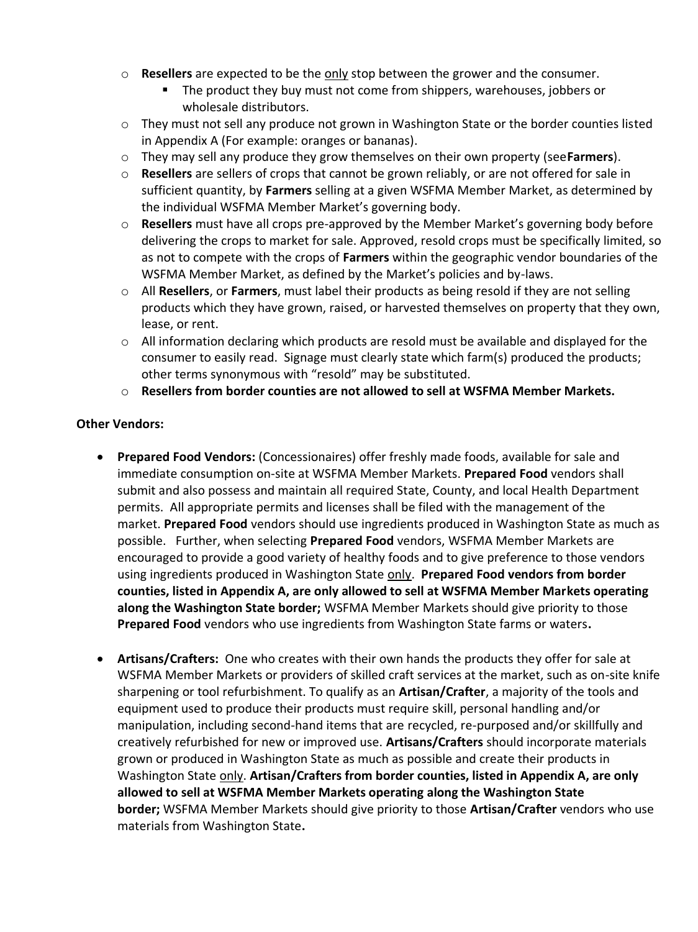- o **Resellers** are expected to be the only stop between the grower and the consumer.
	- The product they buy must not come from shippers, warehouses, jobbers or wholesale distributors.
- $\circ$  They must not sell any produce not grown in Washington State or the border counties listed in Appendix A (For example: oranges or bananas).
- o They may sell any produce they grow themselves on their own property (see**Farmers**).
- o **Resellers** are sellers of crops that cannot be grown reliably, or are not offered for sale in sufficient quantity, by **Farmers** selling at a given WSFMA Member Market, as determined by the individual WSFMA Member Market's governing body.
- o **Resellers** must have all crops pre-approved by the Member Market's governing body before delivering the crops to market for sale. Approved, resold crops must be specifically limited, so as not to compete with the crops of **Farmers** within the geographic vendor boundaries of the WSFMA Member Market, as defined by the Market's policies and by-laws.
- o All **Resellers**, or **Farmers**, must label their products as being resold if they are not selling products which they have grown, raised, or harvested themselves on property that they own, lease, or rent.
- $\circ$  All information declaring which products are resold must be available and displayed for the consumer to easily read. Signage must clearly state which farm(s) produced the products; other terms synonymous with "resold" may be substituted.
- o **Resellers from border counties are not allowed to sell at WSFMA Member Markets.**

#### **Other Vendors:**

- **Prepared Food Vendors:** (Concessionaires) offer freshly made foods, available for sale and immediate consumption on-site at WSFMA Member Markets. **Prepared Food** vendors shall submit and also possess and maintain all required State, County, and local Health Department permits. All appropriate permits and licenses shall be filed with the management of the market. **Prepared Food** vendors should use ingredients produced in Washington State as much as possible. Further, when selecting **Prepared Food** vendors, WSFMA Member Markets are encouraged to provide a good variety of healthy foods and to give preference to those vendors using ingredients produced in Washington State only. **Prepared Food vendors from border counties, listed in Appendix A, are only allowed to sell at WSFMA Member Markets operating along the Washington State border;** WSFMA Member Markets should give priority to those **Prepared Food** vendors who use ingredients from Washington State farms or waters**.**
- **Artisans/Crafters:** One who creates with their own hands the products they offer for sale at WSFMA Member Markets or providers of skilled craft services at the market, such as on-site knife sharpening or tool refurbishment. To qualify as an **Artisan/Crafter**, a majority of the tools and equipment used to produce their products must require skill, personal handling and/or manipulation, including second-hand items that are recycled, re-purposed and/or skillfully and creatively refurbished for new or improved use. **Artisans/Crafters** should incorporate materials grown or produced in Washington State as much as possible and create their products in Washington State only. **Artisan/Crafters from border counties, listed in Appendix A, are only allowed to sell at WSFMA Member Markets operating along the Washington State border;** WSFMA Member Markets should give priority to those **Artisan/Crafter** vendors who use materials from Washington State**.**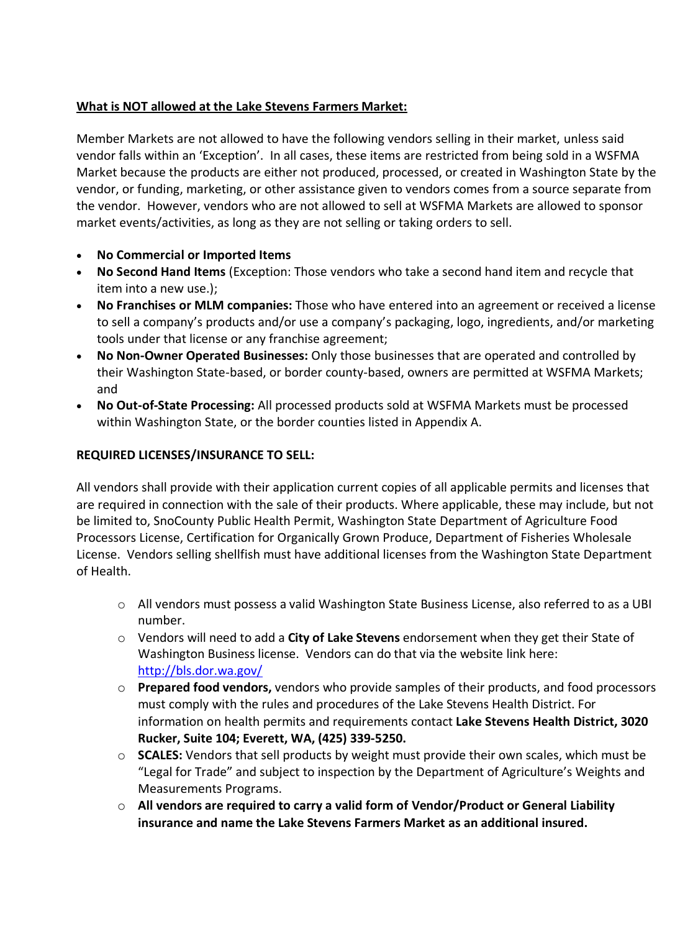# **What is NOT allowed at the Lake Stevens Farmers Market:**

Member Markets are not allowed to have the following vendors selling in their market, unless said vendor falls within an 'Exception'. In all cases, these items are restricted from being sold in a WSFMA Market because the products are either not produced, processed, or created in Washington State by the vendor, or funding, marketing, or other assistance given to vendors comes from a source separate from the vendor. However, vendors who are not allowed to sell at WSFMA Markets are allowed to sponsor market events/activities, as long as they are not selling or taking orders to sell.

- **No Commercial or Imported Items**
- **No Second Hand Items** (Exception: Those vendors who take a second hand item and recycle that item into a new use.);
- **No Franchises or MLM companies:** Those who have entered into an agreement or received a license to sell a company's products and/or use a company's packaging, logo, ingredients, and/or marketing tools under that license or any franchise agreement;
- **No Non-Owner Operated Businesses:** Only those businesses that are operated and controlled by their Washington State-based, or border county-based, owners are permitted at WSFMA Markets; and
- **No Out-of-State Processing:** All processed products sold at WSFMA Markets must be processed within Washington State, or the border counties listed in Appendix A.

# **REQUIRED LICENSES/INSURANCE TO SELL:**

All vendors shall provide with their application current copies of all applicable permits and licenses that are required in connection with the sale of their products. Where applicable, these may include, but not be limited to, SnoCounty Public Health Permit, Washington State Department of Agriculture Food Processors License, Certification for Organically Grown Produce, Department of Fisheries Wholesale License. Vendors selling shellfish must have additional licenses from the Washington State Department of Health.

- o All vendors must possess a valid Washington State Business License, also referred to as a UBI number.
- o Vendors will need to add a **City of Lake Stevens** endorsement when they get their State of Washington Business license. Vendors can do that via the website link here: <http://bls.dor.wa.gov/>
- o **Prepared food vendors,** vendors who provide samples of their products, and food processors must comply with the rules and procedures of the Lake Stevens Health District. For information on health permits and requirements contact **Lake Stevens Health District, 3020 Rucker, Suite 104; Everett, WA, (425) 339-5250.**
- o **SCALES:** Vendors that sell products by weight must provide their own scales, which must be "Legal for Trade" and subject to inspection by the Department of Agriculture's Weights and Measurements Programs.
- o **All vendors are required to carry a valid form of Vendor/Product or General Liability insurance and name the Lake Stevens Farmers Market as an additional insured.**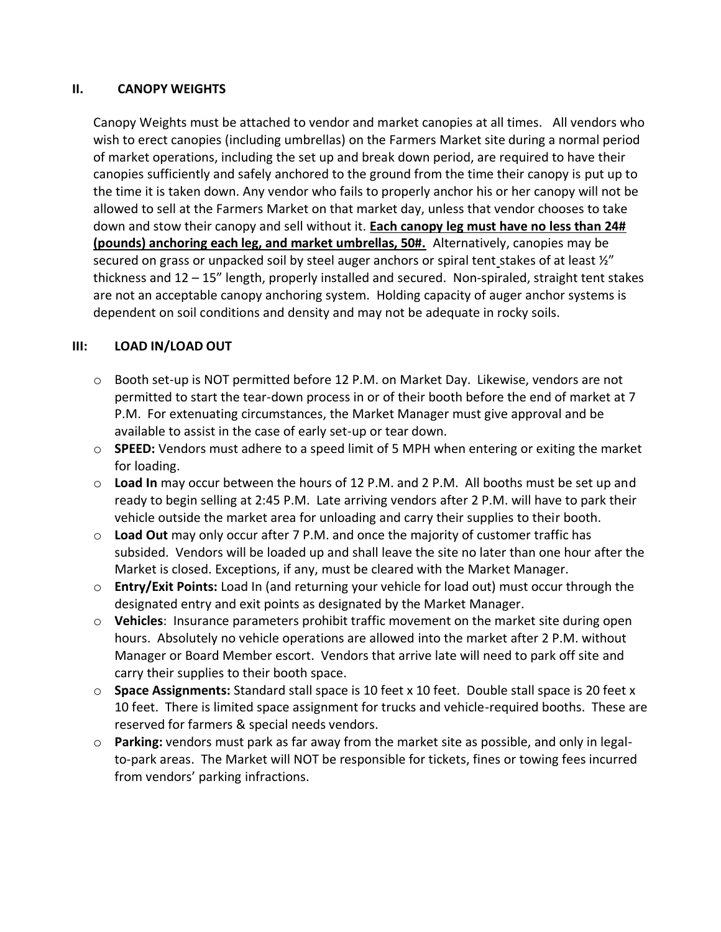## **II. CANOPY WEIGHTS**

Canopy Weights must be attached to vendor and market canopies at all times. All vendors who wish to erect canopies (including umbrellas) on the Farmers Market site during a normal period of market operations, including the set up and break down period, are required to have their canopies sufficiently and safely anchored to the ground from the time their canopy is put up to the time it is taken down. Any vendor who fails to properly anchor his or her canopy will not be allowed to sell at the Farmers Market on that market day, unless that vendor chooses to take down and stow their canopy and sell without it. **Each canopy leg must have no less than 24# (pounds) anchoring each leg, and market umbrellas, 50#.** Alternatively, canopies may be secured on grass or unpacked soil by steel auger anchors or spiral tent stakes of at least  $\frac{y''}{z''}$ thickness and 12 – 15" length, properly installed and secured. Non-spiraled, straight tent stakes are not an acceptable canopy anchoring system. Holding capacity of auger anchor systems is dependent on soil conditions and density and may not be adequate in rocky soils.

# **III: LOAD IN/LOAD OUT**

- o Booth set-up is NOT permitted before 12 P.M. on Market Day. Likewise, vendors are not permitted to start the tear-down process in or of their booth before the end of market at 7 P.M. For extenuating circumstances, the Market Manager must give approval and be available to assist in the case of early set-up or tear down.
- o **SPEED:** Vendors must adhere to a speed limit of 5 MPH when entering or exiting the market for loading.
- o **Load In** may occur between the hours of 12 P.M. and 2 P.M. All booths must be set up and ready to begin selling at 2:45 P.M. Late arriving vendors after 2 P.M. will have to park their vehicle outside the market area for unloading and carry their supplies to their booth.
- o **Load Out** may only occur after 7 P.M. and once the majority of customer traffic has subsided. Vendors will be loaded up and shall leave the site no later than one hour after the Market is closed. Exceptions, if any, must be cleared with the Market Manager.
- o **Entry/Exit Points:** Load In (and returning your vehicle for load out) must occur through the designated entry and exit points as designated by the Market Manager.
- o **Vehicles**: Insurance parameters prohibit traffic movement on the market site during open hours. Absolutely no vehicle operations are allowed into the market after 2 P.M. without Manager or Board Member escort. Vendors that arrive late will need to park off site and carry their supplies to their booth space.
- o **Space Assignments:** Standard stall space is 10 feet x 10 feet. Double stall space is 20 feet x 10 feet. There is limited space assignment for trucks and vehicle-required booths. These are reserved for farmers & special needs vendors.
- o **Parking:** vendors must park as far away from the market site as possible, and only in legalto-park areas. The Market will NOT be responsible for tickets, fines or towing fees incurred from vendors' parking infractions.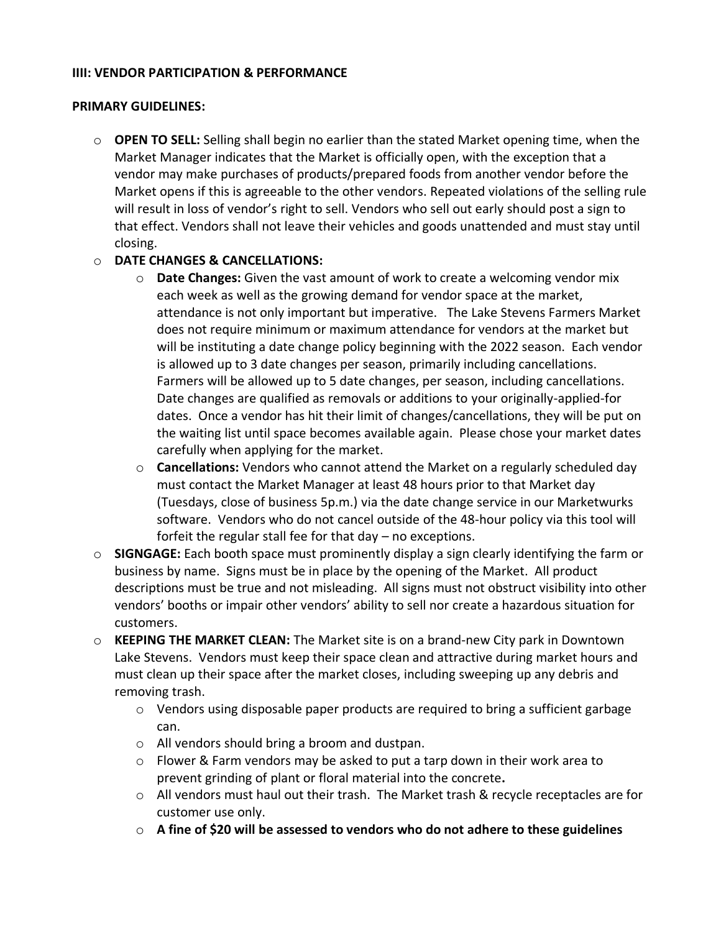### **IIII: VENDOR PARTICIPATION & PERFORMANCE**

## **PRIMARY GUIDELINES:**

o **OPEN TO SELL:** Selling shall begin no earlier than the stated Market opening time, when the Market Manager indicates that the Market is officially open, with the exception that a vendor may make purchases of products/prepared foods from another vendor before the Market opens if this is agreeable to the other vendors. Repeated violations of the selling rule will result in loss of vendor's right to sell. Vendors who sell out early should post a sign to that effect. Vendors shall not leave their vehicles and goods unattended and must stay until closing.

# o **DATE CHANGES & CANCELLATIONS:**

- o **Date Changes:** Given the vast amount of work to create a welcoming vendor mix each week as well as the growing demand for vendor space at the market, attendance is not only important but imperative. The Lake Stevens Farmers Market does not require minimum or maximum attendance for vendors at the market but will be instituting a date change policy beginning with the 2022 season. Each vendor is allowed up to 3 date changes per season, primarily including cancellations. Farmers will be allowed up to 5 date changes, per season, including cancellations. Date changes are qualified as removals or additions to your originally-applied-for dates. Once a vendor has hit their limit of changes/cancellations, they will be put on the waiting list until space becomes available again. Please chose your market dates carefully when applying for the market.
- o **Cancellations:** Vendors who cannot attend the Market on a regularly scheduled day must contact the Market Manager at least 48 hours prior to that Market day (Tuesdays, close of business 5p.m.) via the date change service in our Marketwurks software. Vendors who do not cancel outside of the 48-hour policy via this tool will forfeit the regular stall fee for that day – no exceptions.
- o **SIGNGAGE:** Each booth space must prominently display a sign clearly identifying the farm or business by name. Signs must be in place by the opening of the Market. All product descriptions must be true and not misleading. All signs must not obstruct visibility into other vendors' booths or impair other vendors' ability to sell nor create a hazardous situation for customers.
- o **KEEPING THE MARKET CLEAN:** The Market site is on a brand-new City park in Downtown Lake Stevens. Vendors must keep their space clean and attractive during market hours and must clean up their space after the market closes, including sweeping up any debris and removing trash.
	- $\circ$  Vendors using disposable paper products are required to bring a sufficient garbage can.
	- o All vendors should bring a broom and dustpan.
	- $\circ$  Flower & Farm vendors may be asked to put a tarp down in their work area to prevent grinding of plant or floral material into the concrete**.**
	- o All vendors must haul out their trash. The Market trash & recycle receptacles are for customer use only.
	- o **A fine of \$20 will be assessed to vendors who do not adhere to these guidelines**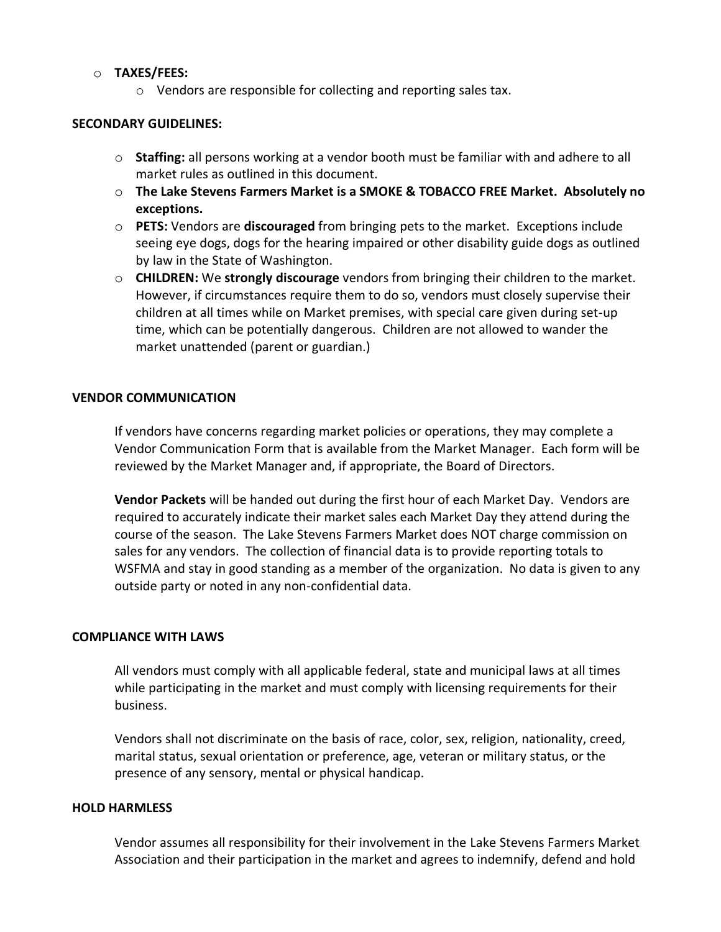#### o **TAXES/FEES:**

o Vendors are responsible for collecting and reporting sales tax.

#### **SECONDARY GUIDELINES:**

- o **Staffing:** all persons working at a vendor booth must be familiar with and adhere to all market rules as outlined in this document.
- o **The Lake Stevens Farmers Market is a SMOKE & TOBACCO FREE Market. Absolutely no exceptions.**
- o **PETS:** Vendors are **discouraged** from bringing pets to the market. Exceptions include seeing eye dogs, dogs for the hearing impaired or other disability guide dogs as outlined by law in the State of Washington.
- o **CHILDREN:** We **strongly discourage** vendors from bringing their children to the market. However, if circumstances require them to do so, vendors must closely supervise their children at all times while on Market premises, with special care given during set-up time, which can be potentially dangerous. Children are not allowed to wander the market unattended (parent or guardian.)

#### **VENDOR COMMUNICATION**

If vendors have concerns regarding market policies or operations, they may complete a Vendor Communication Form that is available from the Market Manager. Each form will be reviewed by the Market Manager and, if appropriate, the Board of Directors.

**Vendor Packets** will be handed out during the first hour of each Market Day. Vendors are required to accurately indicate their market sales each Market Day they attend during the course of the season. The Lake Stevens Farmers Market does NOT charge commission on sales for any vendors. The collection of financial data is to provide reporting totals to WSFMA and stay in good standing as a member of the organization. No data is given to any outside party or noted in any non-confidential data.

#### **COMPLIANCE WITH LAWS**

All vendors must comply with all applicable federal, state and municipal laws at all times while participating in the market and must comply with licensing requirements for their business.

Vendors shall not discriminate on the basis of race, color, sex, religion, nationality, creed, marital status, sexual orientation or preference, age, veteran or military status, or the presence of any sensory, mental or physical handicap.

#### **HOLD HARMLESS**

Vendor assumes all responsibility for their involvement in the Lake Stevens Farmers Market Association and their participation in the market and agrees to indemnify, defend and hold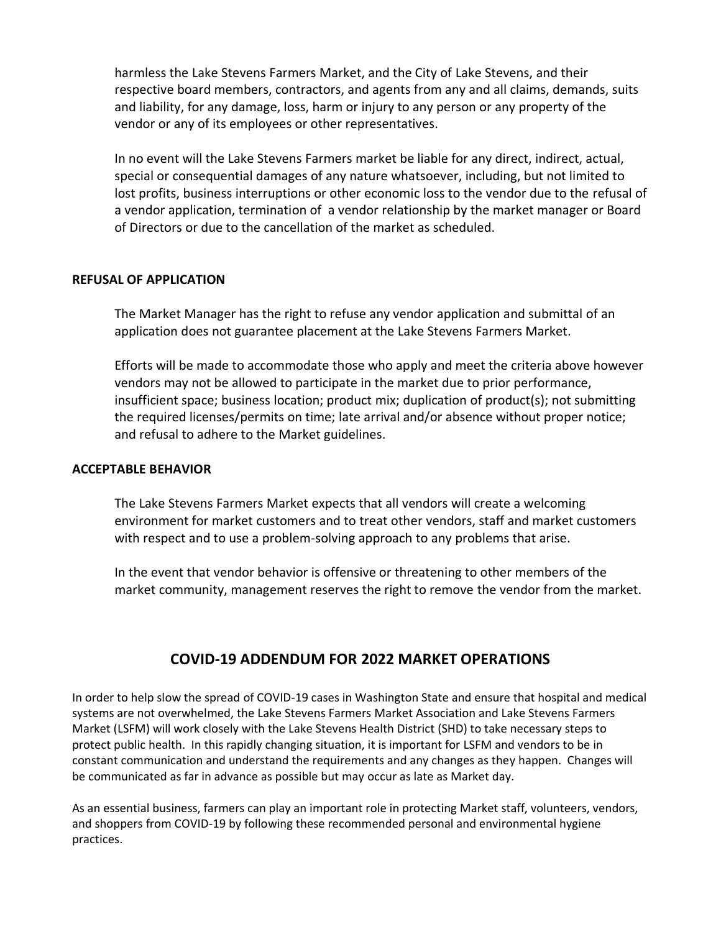harmless the Lake Stevens Farmers Market, and the City of Lake Stevens, and their respective board members, contractors, and agents from any and all claims, demands, suits and liability, for any damage, loss, harm or injury to any person or any property of the vendor or any of its employees or other representatives.

In no event will the Lake Stevens Farmers market be liable for any direct, indirect, actual, special or consequential damages of any nature whatsoever, including, but not limited to lost profits, business interruptions or other economic loss to the vendor due to the refusal of a vendor application, termination of a vendor relationship by the market manager or Board of Directors or due to the cancellation of the market as scheduled.

#### **REFUSAL OF APPLICATION**

The Market Manager has the right to refuse any vendor application and submittal of an application does not guarantee placement at the Lake Stevens Farmers Market.

Efforts will be made to accommodate those who apply and meet the criteria above however vendors may not be allowed to participate in the market due to prior performance, insufficient space; business location; product mix; duplication of product(s); not submitting the required licenses/permits on time; late arrival and/or absence without proper notice; and refusal to adhere to the Market guidelines.

#### **ACCEPTABLE BEHAVIOR**

The Lake Stevens Farmers Market expects that all vendors will create a welcoming environment for market customers and to treat other vendors, staff and market customers with respect and to use a problem-solving approach to any problems that arise.

In the event that vendor behavior is offensive or threatening to other members of the market community, management reserves the right to remove the vendor from the market.

# **COVID-19 ADDENDUM FOR 2022 MARKET OPERATIONS**

In order to help slow the spread of COVID-19 cases in Washington State and ensure that hospital and medical systems are not overwhelmed, the Lake Stevens Farmers Market Association and Lake Stevens Farmers Market (LSFM) will work closely with the Lake Stevens Health District (SHD) to take necessary steps to protect public health. In this rapidly changing situation, it is important for LSFM and vendors to be in constant communication and understand the requirements and any changes as they happen. Changes will be communicated as far in advance as possible but may occur as late as Market day.

As an essential business, farmers can play an important role in protecting Market staff, volunteers, vendors, and shoppers from COVID-19 by following these recommended personal and environmental hygiene practices.